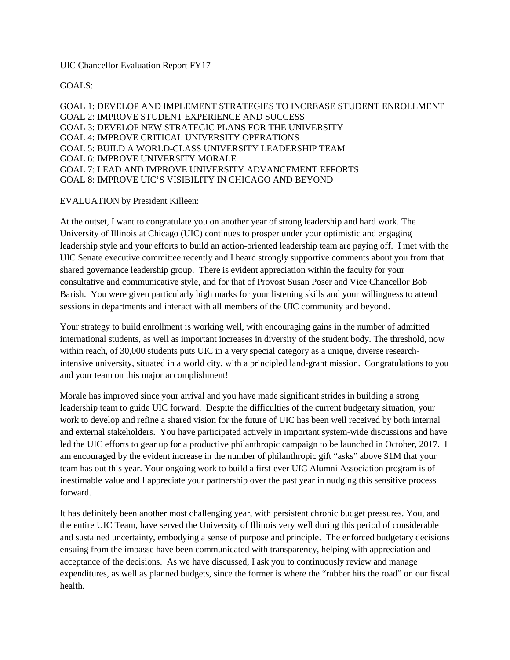UIC Chancellor Evaluation Report FY17

GOALS:

GOAL 1: DEVELOP AND IMPLEMENT STRATEGIES TO INCREASE STUDENT ENROLLMENT GOAL 2: IMPROVE STUDENT EXPERIENCE AND SUCCESS GOAL 3: DEVELOP NEW STRATEGIC PLANS FOR THE UNIVERSITY GOAL 4: IMPROVE CRITICAL UNIVERSITY OPERATIONS GOAL 5: BUILD A WORLD-CLASS UNIVERSITY LEADERSHIP TEAM GOAL 6: IMPROVE UNIVERSITY MORALE GOAL 7: LEAD AND IMPROVE UNIVERSITY ADVANCEMENT EFFORTS GOAL 8: IMPROVE UIC'S VISIBILITY IN CHICAGO AND BEYOND

## EVALUATION by President Killeen:

At the outset, I want to congratulate you on another year of strong leadership and hard work. The University of Illinois at Chicago (UIC) continues to prosper under your optimistic and engaging leadership style and your efforts to build an action-oriented leadership team are paying off. I met with the UIC Senate executive committee recently and I heard strongly supportive comments about you from that shared governance leadership group. There is evident appreciation within the faculty for your consultative and communicative style, and for that of Provost Susan Poser and Vice Chancellor Bob Barish. You were given particularly high marks for your listening skills and your willingness to attend sessions in departments and interact with all members of the UIC community and beyond.

Your strategy to build enrollment is working well, with encouraging gains in the number of admitted international students, as well as important increases in diversity of the student body. The threshold, now within reach, of 30,000 students puts UIC in a very special category as a unique, diverse researchintensive university, situated in a world city, with a principled land-grant mission. Congratulations to you and your team on this major accomplishment!

Morale has improved since your arrival and you have made significant strides in building a strong leadership team to guide UIC forward. Despite the difficulties of the current budgetary situation, your work to develop and refine a shared vision for the future of UIC has been well received by both internal and external stakeholders. You have participated actively in important system-wide discussions and have led the UIC efforts to gear up for a productive philanthropic campaign to be launched in October, 2017. I am encouraged by the evident increase in the number of philanthropic gift "asks" above \$1M that your team has out this year. Your ongoing work to build a first-ever UIC Alumni Association program is of inestimable value and I appreciate your partnership over the past year in nudging this sensitive process forward.

It has definitely been another most challenging year, with persistent chronic budget pressures. You, and the entire UIC Team, have served the University of Illinois very well during this period of considerable and sustained uncertainty, embodying a sense of purpose and principle. The enforced budgetary decisions ensuing from the impasse have been communicated with transparency, helping with appreciation and acceptance of the decisions. As we have discussed, I ask you to continuously review and manage expenditures, as well as planned budgets, since the former is where the "rubber hits the road" on our fiscal health.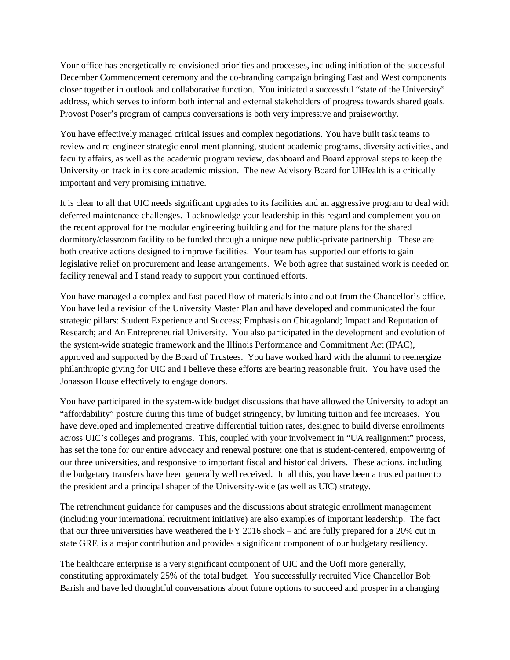Your office has energetically re-envisioned priorities and processes, including initiation of the successful December Commencement ceremony and the co-branding campaign bringing East and West components closer together in outlook and collaborative function. You initiated a successful "state of the University" address, which serves to inform both internal and external stakeholders of progress towards shared goals. Provost Poser's program of campus conversations is both very impressive and praiseworthy.

You have effectively managed critical issues and complex negotiations. You have built task teams to review and re-engineer strategic enrollment planning, student academic programs, diversity activities, and faculty affairs, as well as the academic program review, dashboard and Board approval steps to keep the University on track in its core academic mission. The new Advisory Board for UIHealth is a critically important and very promising initiative.

It is clear to all that UIC needs significant upgrades to its facilities and an aggressive program to deal with deferred maintenance challenges. I acknowledge your leadership in this regard and complement you on the recent approval for the modular engineering building and for the mature plans for the shared dormitory/classroom facility to be funded through a unique new public-private partnership. These are both creative actions designed to improve facilities. Your team has supported our efforts to gain legislative relief on procurement and lease arrangements. We both agree that sustained work is needed on facility renewal and I stand ready to support your continued efforts.

You have managed a complex and fast-paced flow of materials into and out from the Chancellor's office. You have led a revision of the University Master Plan and have developed and communicated the four strategic pillars: Student Experience and Success; Emphasis on Chicagoland; Impact and Reputation of Research; and An Entrepreneurial University. You also participated in the development and evolution of the system-wide strategic framework and the Illinois Performance and Commitment Act (IPAC), approved and supported by the Board of Trustees. You have worked hard with the alumni to reenergize philanthropic giving for UIC and I believe these efforts are bearing reasonable fruit. You have used the Jonasson House effectively to engage donors.

You have participated in the system-wide budget discussions that have allowed the University to adopt an "affordability" posture during this time of budget stringency, by limiting tuition and fee increases. You have developed and implemented creative differential tuition rates, designed to build diverse enrollments across UIC's colleges and programs. This, coupled with your involvement in "UA realignment" process, has set the tone for our entire advocacy and renewal posture: one that is student-centered, empowering of our three universities, and responsive to important fiscal and historical drivers. These actions, including the budgetary transfers have been generally well received. In all this, you have been a trusted partner to the president and a principal shaper of the University-wide (as well as UIC) strategy.

The retrenchment guidance for campuses and the discussions about strategic enrollment management (including your international recruitment initiative) are also examples of important leadership. The fact that our three universities have weathered the FY 2016 shock – and are fully prepared for a 20% cut in state GRF, is a major contribution and provides a significant component of our budgetary resiliency.

The healthcare enterprise is a very significant component of UIC and the UofI more generally, constituting approximately 25% of the total budget. You successfully recruited Vice Chancellor Bob Barish and have led thoughtful conversations about future options to succeed and prosper in a changing